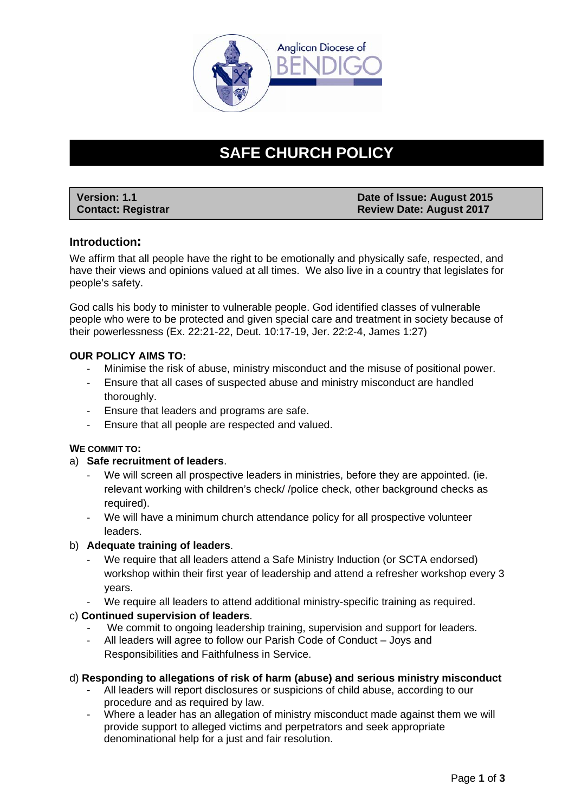

# **SAFE CHURCH POLICY**

| <b>Version: 1.1</b>       | Date of Issue: August 2015      |
|---------------------------|---------------------------------|
| <b>Contact: Registrar</b> | <b>Review Date: August 2017</b> |

# **Introduction:**

We affirm that all people have the right to be emotionally and physically safe, respected, and have their views and opinions valued at all times. We also live in a country that legislates for people's safety.

God calls his body to minister to vulnerable people. God identified classes of vulnerable people who were to be protected and given special care and treatment in society because of their powerlessness (Ex. 22:21-22, Deut. 10:17-19, Jer. 22:2-4, James 1:27)

# **OUR POLICY AIMS TO:**

- Minimise the risk of abuse, ministry misconduct and the misuse of positional power.
- ‐ Ensure that all cases of suspected abuse and ministry misconduct are handled thoroughly.
- ‐ Ensure that leaders and programs are safe.
- ‐ Ensure that all people are respected and valued.

## **WE COMMIT TO:**

# a) **Safe recruitment of leaders**.

- We will screen all prospective leaders in ministries, before they are appointed. (ie. relevant working with children's check/ /police check, other background checks as required).
- We will have a minimum church attendance policy for all prospective volunteer leaders.

# b) **Adequate training of leaders**.

- We require that all leaders attend a Safe Ministry Induction (or SCTA endorsed) workshop within their first year of leadership and attend a refresher workshop every 3 years.
- We require all leaders to attend additional ministry-specific training as required.

# c) **Continued supervision of leaders**.

- We commit to ongoing leadership training, supervision and support for leaders.
- ‐ All leaders will agree to follow our Parish Code of Conduct Joys and Responsibilities and Faithfulness in Service.

## d) **Responding to allegations of risk of harm (abuse) and serious ministry misconduct**

- All leaders will report disclosures or suspicions of child abuse, according to our procedure and as required by law.
- Where a leader has an allegation of ministry misconduct made against them we will provide support to alleged victims and perpetrators and seek appropriate denominational help for a just and fair resolution.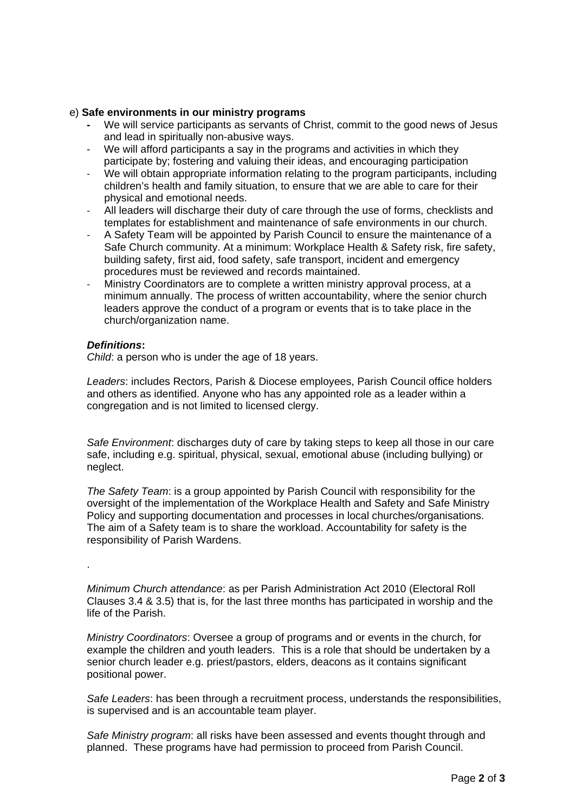## e) **Safe environments in our ministry programs**

- We will service participants as servants of Christ, commit to the good news of Jesus and lead in spiritually non-abusive ways.
- We will afford participants a say in the programs and activities in which they participate by; fostering and valuing their ideas, and encouraging participation
- We will obtain appropriate information relating to the program participants, including children's health and family situation, to ensure that we are able to care for their physical and emotional needs.
- ‐ All leaders will discharge their duty of care through the use of forms, checklists and templates for establishment and maintenance of safe environments in our church.
- ‐ A Safety Team will be appointed by Parish Council to ensure the maintenance of a Safe Church community. At a minimum: Workplace Health & Safety risk, fire safety, building safety, first aid, food safety, safe transport, incident and emergency procedures must be reviewed and records maintained.
- ‐ Ministry Coordinators are to complete a written ministry approval process, at a minimum annually. The process of written accountability, where the senior church leaders approve the conduct of a program or events that is to take place in the church/organization name.

## *Definitions***:**

*Child*: a person who is under the age of 18 years.

*Leaders*: includes Rectors, Parish & Diocese employees, Parish Council office holders and others as identified. Anyone who has any appointed role as a leader within a congregation and is not limited to licensed clergy.

*Safe Environment*: discharges duty of care by taking steps to keep all those in our care safe, including e.g. spiritual, physical, sexual, emotional abuse (including bullying) or neglect.

*The Safety Team*: is a group appointed by Parish Council with responsibility for the oversight of the implementation of the Workplace Health and Safety and Safe Ministry Policy and supporting documentation and processes in local churches/organisations. The aim of a Safety team is to share the workload. Accountability for safety is the responsibility of Parish Wardens.

.

*Minimum Church attendance*: as per Parish Administration Act 2010 (Electoral Roll Clauses 3.4 & 3.5) that is, for the last three months has participated in worship and the life of the Parish.

*Ministry Coordinators*: Oversee a group of programs and or events in the church, for example the children and youth leaders. This is a role that should be undertaken by a senior church leader e.g. priest/pastors, elders, deacons as it contains significant positional power.

*Safe Leaders*: has been through a recruitment process, understands the responsibilities, is supervised and is an accountable team player.

*Safe Ministry program*: all risks have been assessed and events thought through and planned. These programs have had permission to proceed from Parish Council.